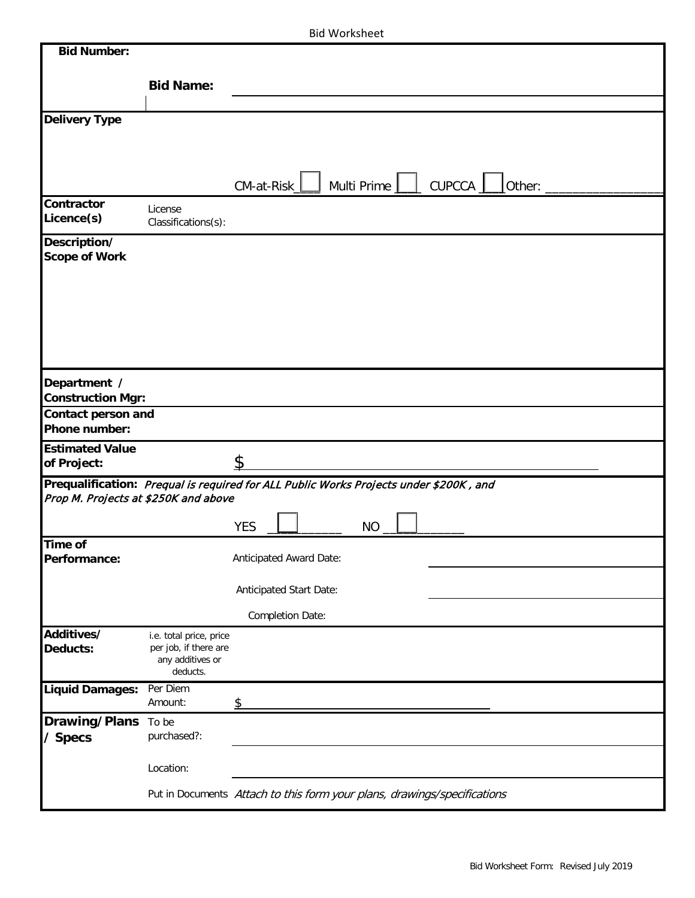|  |  | <b>Bid Worksheet</b> |
|--|--|----------------------|
|--|--|----------------------|

| <b>Bid Number:</b>                       |                                                                                                                               |                         |                         |           |  |                                                                          |
|------------------------------------------|-------------------------------------------------------------------------------------------------------------------------------|-------------------------|-------------------------|-----------|--|--------------------------------------------------------------------------|
|                                          | <b>Bid Name:</b>                                                                                                              |                         |                         |           |  |                                                                          |
|                                          |                                                                                                                               |                         |                         |           |  |                                                                          |
| <b>Delivery Type</b>                     |                                                                                                                               |                         |                         |           |  |                                                                          |
|                                          |                                                                                                                               |                         |                         |           |  |                                                                          |
|                                          |                                                                                                                               |                         |                         |           |  |                                                                          |
|                                          |                                                                                                                               | $CM$ -at-Risk $\perp$   |                         |           |  | Multi Prime   cUPCCA   other:                                            |
| <b>Contractor</b>                        | License                                                                                                                       |                         |                         |           |  |                                                                          |
| Licence(s)                               | Classifications(s):                                                                                                           |                         |                         |           |  |                                                                          |
| Description/                             |                                                                                                                               |                         |                         |           |  |                                                                          |
| <b>Scope of Work</b>                     |                                                                                                                               |                         |                         |           |  |                                                                          |
|                                          |                                                                                                                               |                         |                         |           |  |                                                                          |
|                                          |                                                                                                                               |                         |                         |           |  |                                                                          |
|                                          |                                                                                                                               |                         |                         |           |  |                                                                          |
|                                          |                                                                                                                               |                         |                         |           |  |                                                                          |
|                                          |                                                                                                                               |                         |                         |           |  |                                                                          |
| Department /<br><b>Construction Mgr:</b> |                                                                                                                               |                         |                         |           |  |                                                                          |
| Contact person and                       |                                                                                                                               |                         |                         |           |  |                                                                          |
| Phone number:                            |                                                                                                                               |                         |                         |           |  |                                                                          |
| <b>Estimated Value</b>                   |                                                                                                                               |                         |                         |           |  |                                                                          |
| of Project:                              |                                                                                                                               | \$                      |                         |           |  |                                                                          |
|                                          | Prequalification: Prequal is required for ALL Public Works Projects under \$200K, and<br>Prop M. Projects at \$250K and above |                         |                         |           |  |                                                                          |
|                                          |                                                                                                                               |                         |                         |           |  |                                                                          |
| Time of                                  |                                                                                                                               | <b>YES</b>              |                         | <b>NO</b> |  |                                                                          |
| Performance:                             |                                                                                                                               | Anticipated Award Date: |                         |           |  |                                                                          |
|                                          |                                                                                                                               |                         |                         |           |  |                                                                          |
|                                          |                                                                                                                               |                         | Anticipated Start Date: |           |  |                                                                          |
|                                          |                                                                                                                               |                         | Completion Date:        |           |  |                                                                          |
| Additives/<br>Deducts:                   | i.e. total price, price<br>per job, if there are                                                                              |                         |                         |           |  |                                                                          |
|                                          | any additives or                                                                                                              |                         |                         |           |  |                                                                          |
| <b>Liquid Damages:</b>                   | deducts.<br>Per Diem                                                                                                          |                         |                         |           |  |                                                                          |
|                                          | Amount:                                                                                                                       | \$                      |                         |           |  |                                                                          |
| <b>Drawing/Plans</b>                     | To be                                                                                                                         |                         |                         |           |  |                                                                          |
| / Specs                                  | purchased?:                                                                                                                   |                         |                         |           |  |                                                                          |
|                                          | Location:                                                                                                                     |                         |                         |           |  |                                                                          |
|                                          |                                                                                                                               |                         |                         |           |  |                                                                          |
|                                          |                                                                                                                               |                         |                         |           |  | Put in Documents Attach to this form your plans, drawings/specifications |